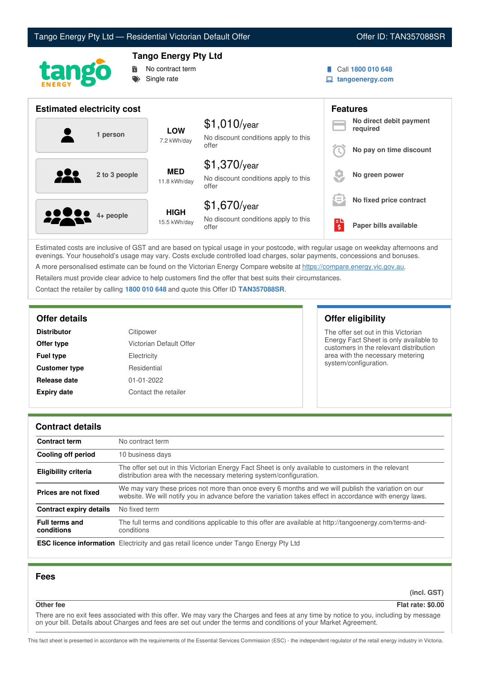



# **Tango Energy Pty Ltd**



Call **1800 010 648**

**tangoenergy.com**

| <b>Estimated electricity cost</b> |                             |                                                                 | <b>Features</b> |                                     |
|-----------------------------------|-----------------------------|-----------------------------------------------------------------|-----------------|-------------------------------------|
| 1 person                          | <b>LOW</b><br>7.2 kWh/day   | $$1,010$ /year<br>No discount conditions apply to this          |                 | No direct debit payment<br>required |
|                                   |                             | offer                                                           |                 | No pay on time discount             |
| 222<br>2 to 3 people              | <b>MED</b><br>11.8 kWh/day  | $$1,370$ /year<br>No discount conditions apply to this<br>offer |                 | No green power                      |
|                                   |                             | $$1,670$ /year                                                  | !=              | No fixed price contract             |
| <b>2000</b> 4+ people             | <b>HIGH</b><br>15.5 kWh/day | No discount conditions apply to this<br>offer                   | Ś               | Paper bills available               |

Estimated costs are inclusive of GST and are based on typical usage in your postcode, with regular usage on weekday afternoons and evenings. Your household's usage may vary. Costs exclude controlled load charges, solar payments, concessions and bonuses. A more personalised estimate can be found on the Victorian Energy Compare website at <https://compare.energy.vic.gov.au>.

Retailers must provide clear advice to help customers find the offer that best suits their circumstances.

Contact the retailer by calling **1800 010 648** and quote this Offer ID **TAN357088SR**.

| <b>Distributor</b>   | Citipower               |
|----------------------|-------------------------|
| Offer type           | Victorian Default Offer |
| <b>Fuel type</b>     | Electricity             |
| <b>Customer type</b> | Residential             |
| Release date         | $01 - 01 - 2022$        |
| <b>Expiry date</b>   | Contact the retailer    |

# **Offer details Offer eligibility**

The offer set out in this Victorian Energy Fact Sheet is only available to customers in the relevant distribution area with the necessary metering system/configuration.

## **Contract details**

| <b>Contract term</b>                | No contract term                                                                                                                                                                                                |
|-------------------------------------|-----------------------------------------------------------------------------------------------------------------------------------------------------------------------------------------------------------------|
| Cooling off period                  | 10 business days                                                                                                                                                                                                |
| <b>Eligibility criteria</b>         | The offer set out in this Victorian Energy Fact Sheet is only available to customers in the relevant<br>distribution area with the necessary metering system/configuration.                                     |
| Prices are not fixed                | We may vary these prices not more than once every 6 months and we will publish the variation on our<br>website. We will notify you in advance before the variation takes effect in accordance with energy laws. |
| <b>Contract expiry details</b>      | No fixed term                                                                                                                                                                                                   |
| <b>Full terms and</b><br>conditions | The full terms and conditions applicable to this offer are available at http://tangoenergy.com/terms-and-<br>conditions                                                                                         |
|                                     | <b>ESC licence information</b> Electricity and gas retail licence under Tango Energy Pty Ltd                                                                                                                    |

## **Fees**

**(incl. GST)**

**Other fee Flat rate: \$0.00**

There are no exit fees associated with this offer. We may vary the Charges and fees at any time by notice to you, including by message on your bill. Details about Charges and fees are set out under the terms and conditions of your Market Agreement.

This fact sheet is presented in accordance with the requirements of the Essential Services Commission (ESC) - the independent regulator of the retail energy industry in Victoria.